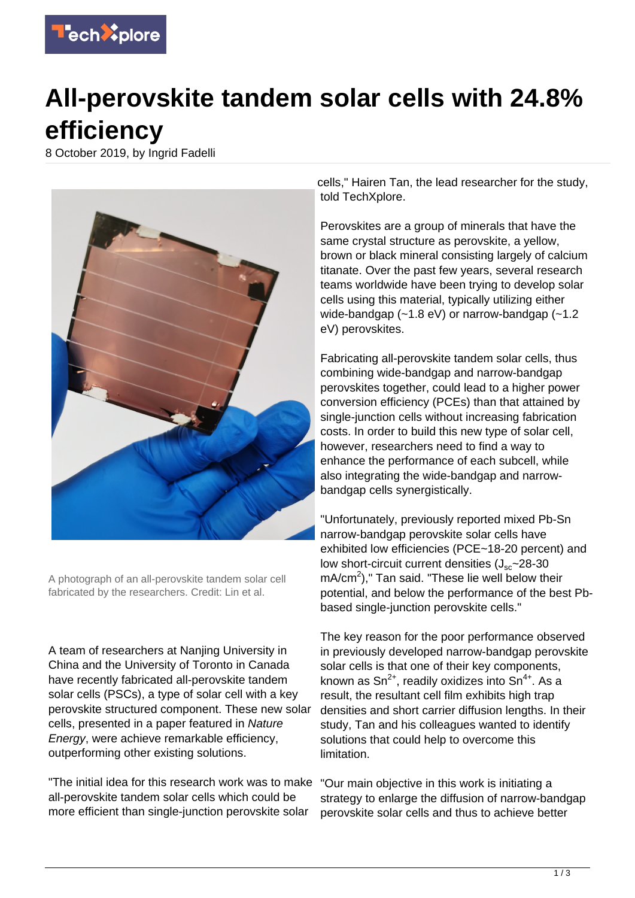

## **All-perovskite tandem solar cells with 24.8% efficiency**

8 October 2019, by Ingrid Fadelli



A photograph of an all-perovskite tandem solar cell fabricated by the researchers. Credit: Lin et al.

A team of researchers at Nanjing University in China and the University of Toronto in Canada have recently fabricated all-perovskite tandem solar cells (PSCs), a type of solar cell with a key perovskite structured component. These new solar cells, presented in a paper featured in Nature Energy, were achieve remarkable efficiency, outperforming other existing solutions.

"The initial idea for this research work was to make all-perovskite tandem solar cells which could be more efficient than single-junction perovskite solar

cells," Hairen Tan, the lead researcher for the study, told TechXplore.

Perovskites are a group of minerals that have the same crystal structure as perovskite, a yellow, brown or black mineral consisting largely of calcium titanate. Over the past few years, several research teams worldwide have been trying to develop solar cells using this material, typically utilizing either wide-bandgap (~1.8 eV) or narrow-bandgap (~1.2 eV) perovskites.

Fabricating all-perovskite tandem solar cells, thus combining wide-bandgap and narrow-bandgap perovskites together, could lead to a higher power conversion efficiency (PCEs) than that attained by single-junction cells without increasing fabrication costs. In order to build this new type of solar cell, however, researchers need to find a way to enhance the performance of each subcell, while also integrating the wide-bandgap and narrowbandgap cells synergistically.

"Unfortunately, previously reported mixed Pb-Sn narrow-bandgap perovskite solar cells have exhibited low efficiencies (PCE~18-20 percent) and low short-circuit current densities  $(J_{sc}$ ~28-30  $mA/cm<sup>2</sup>$ )," Tan said. "These lie well below their potential, and below the performance of the best Pbbased single-junction perovskite cells."

The key reason for the poor performance observed in previously developed narrow-bandgap perovskite solar cells is that one of their key components, known as  $\text{Sn}^{2+}$ , readily oxidizes into  $\text{Sn}^{4+}$ . As a result, the resultant cell film exhibits high trap densities and short carrier diffusion lengths. In their study, Tan and his colleagues wanted to identify solutions that could help to overcome this limitation.

"Our main objective in this work is initiating a strategy to enlarge the diffusion of narrow-bandgap perovskite solar cells and thus to achieve better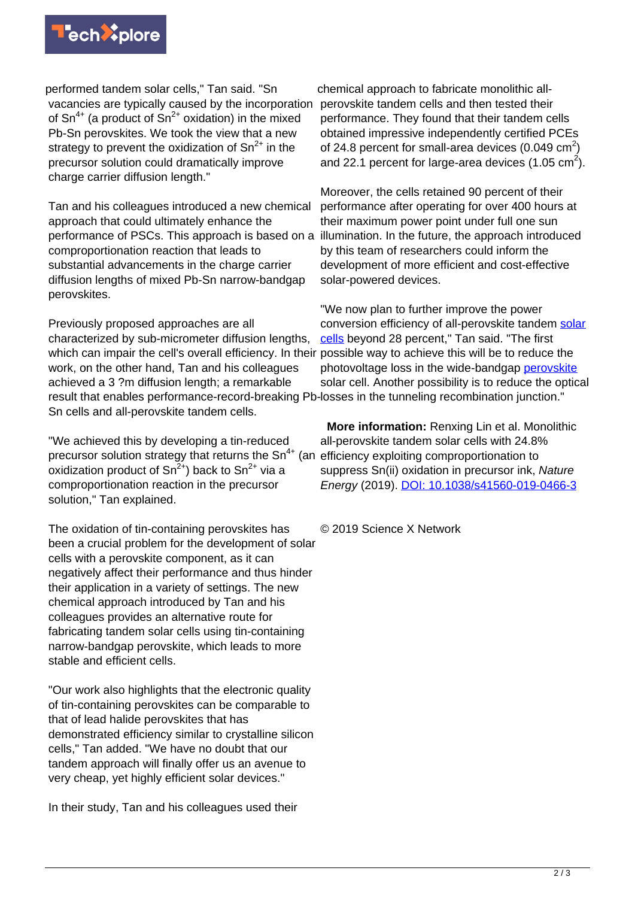

performed tandem solar cells," Tan said. "Sn vacancies are typically caused by the incorporation of  $Sn^{4+}$  (a product of  $Sn^{2+}$  oxidation) in the mixed Pb-Sn perovskites. We took the view that a new strategy to prevent the oxidization of  $\text{Sn}^{2+}$  in the precursor solution could dramatically improve charge carrier diffusion length."

Tan and his colleagues introduced a new chemical approach that could ultimately enhance the performance of PSCs. This approach is based on a comproportionation reaction that leads to substantial advancements in the charge carrier diffusion lengths of mixed Pb-Sn narrow-bandgap perovskites.

Previously proposed approaches are all characterized by sub-micrometer diffusion lengths, which can impair the cell's overall efficiency. In their possible way to achieve this will be to reduce the work, on the other hand, Tan and his colleagues achieved a 3 ?m diffusion length; a remarkable result that enables performance-record-breaking Pb-losses in the tunneling recombination junction." Sn cells and all-perovskite tandem cells.

"We achieved this by developing a tin-reduced precursor solution strategy that returns the  $Sn^{4+}$  (an oxidization product of  $Sn^{2+}$ ) back to  $Sn^{2+}$  via a comproportionation reaction in the precursor solution," Tan explained.

The oxidation of tin-containing perovskites has been a crucial problem for the development of solar cells with a perovskite component, as it can negatively affect their performance and thus hinder their application in a variety of settings. The new chemical approach introduced by Tan and his colleagues provides an alternative route for fabricating tandem solar cells using tin-containing narrow-bandgap perovskite, which leads to more stable and efficient cells.

"Our work also highlights that the electronic quality of tin-containing perovskites can be comparable to that of lead halide perovskites that has demonstrated efficiency similar to crystalline silicon cells," Tan added. "We have no doubt that our tandem approach will finally offer us an avenue to very cheap, yet highly efficient solar devices."

In their study, Tan and his colleagues used their

chemical approach to fabricate monolithic allperovskite tandem cells and then tested their performance. They found that their tandem cells obtained impressive independently certified PCEs of 24.8 percent for small-area devices (0.049  $\text{cm}^2$ ) and 22.1 percent for large-area devices  $(1.05 \text{ cm}^2)$ .

Moreover, the cells retained 90 percent of their performance after operating for over 400 hours at their maximum power point under full one sun illumination. In the future, the approach introduced by this team of researchers could inform the development of more efficient and cost-effective solar-powered devices.

"We now plan to further improve the power conversion efficiency of all-perovskite tandem [solar](https://techxplore.com/tags/solar+cells/) [cells](https://techxplore.com/tags/solar+cells/) beyond 28 percent," Tan said. "The first photovoltage loss in the wide-bandgap [perovskite](https://techxplore.com/tags/perovskite/) solar cell. Another possibility is to reduce the optical

 **More information:** Renxing Lin et al. Monolithic all-perovskite tandem solar cells with 24.8% efficiency exploiting comproportionation to suppress Sn(ii) oxidation in precursor ink, Nature Energy (2019). [DOI: 10.1038/s41560-019-0466-3](http://dx.doi.org/10.1038/s41560-019-0466-3)

© 2019 Science X Network